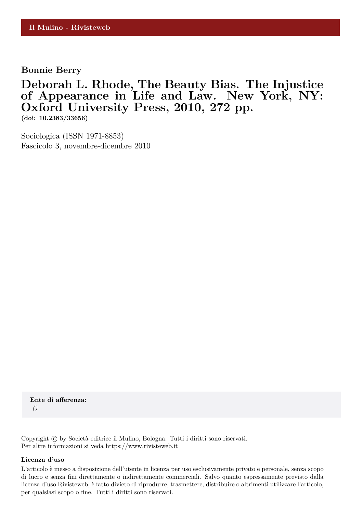**Bonnie Berry**

# **Deborah L. Rhode, The Beauty Bias. The Injustice of Appearance in Life and Law. New York, NY: Oxford University Press, 2010, 272 pp.**

**(doi: 10.2383/33656)**

Sociologica (ISSN 1971-8853) Fascicolo 3, novembre-dicembre 2010

**Ente di afferenza:** *()*

Copyright © by Società editrice il Mulino, Bologna. Tutti i diritti sono riservati. Per altre informazioni si veda https://www.rivisteweb.it

#### **Licenza d'uso**

L'articolo è messo a disposizione dell'utente in licenza per uso esclusivamente privato e personale, senza scopo di lucro e senza fini direttamente o indirettamente commerciali. Salvo quanto espressamente previsto dalla licenza d'uso Rivisteweb, è fatto divieto di riprodurre, trasmettere, distribuire o altrimenti utilizzare l'articolo, per qualsiasi scopo o fine. Tutti i diritti sono riservati.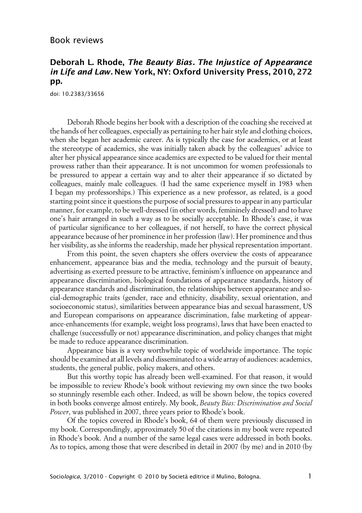## Book reviews

## **Deborah L. Rhode, The Beauty Bias. The Injustice of Appearance in Life and Law. New York, NY: Oxford University Press, 2010, 272 pp.**

doi: 10.2383/33656

Deborah Rhode begins her book with a description of the coaching she received at the hands of her colleagues, especially as pertaining to her hair style and clothing choices, when she began her academic career. As is typically the case for academics, or at least the stereotype of academics, she was initially taken aback by the colleagues' advice to alter her physical appearance since academics are expected to be valued for their mental prowess rather than their appearance. It is not uncommon for women professionals to be pressured to appear a certain way and to alter their appearance if so dictated by colleagues, mainly male colleagues. (I had the same experience myself in 1983 when I began my professorships.) This experience as a new professor, as related, is a good starting point since it questions the purpose of social pressures to appear in any particular manner, for example, to be well-dressed (in other words, femininely dressed) and to have one's hair arranged in such a way as to be socially acceptable. In Rhode's case, it was of particular significance to her colleagues, if not herself, to have the correct physical appearance because of her prominence in her profession (law). Her prominence and thus her visibility, as she informs the readership, made her physical representation important.

From this point, the seven chapters she offers overview the costs of appearance enhancement, appearance bias and the media, technology and the pursuit of beauty, advertising as exerted pressure to be attractive, feminism's influence on appearance and appearance discrimination, biological foundations of appearance standards, history of appearance standards and discrimination, the relationships between appearance and social-demographic traits (gender, race and ethnicity, disability, sexual orientation, and socioeconomic status), similarities between appearance bias and sexual harassment, US and European comparisons on appearance discrimination, false marketing of appearance-enhancements (for example, weight loss programs), laws that have been enacted to challenge (successfully or not) appearance discrimination, and policy changes that might be made to reduce appearance discrimination.

Appearance bias is a very worthwhile topic of worldwide importance. The topic should be examined at all levels and disseminated to a wide array of audiences: academics, students, the general public, policy makers, and others.

But this worthy topic has already been well-examined. For that reason, it would be impossible to review Rhode's book without reviewing my own since the two books so stunningly resemble each other. Indeed, as will be shown below, the topics covered in both books converge almost entirely. My book, *Beauty Bias: Discrimination and Social Power*, was published in 2007, three years prior to Rhode's book.

Of the topics covered in Rhode's book, 64 of them were previously discussed in my book. Correspondingly, approximately 50 of the citations in my book were repeated in Rhode's book. And a number of the same legal cases were addressed in both books. As to topics, among those that were described in detail in 2007 (by me) and in 2010 (by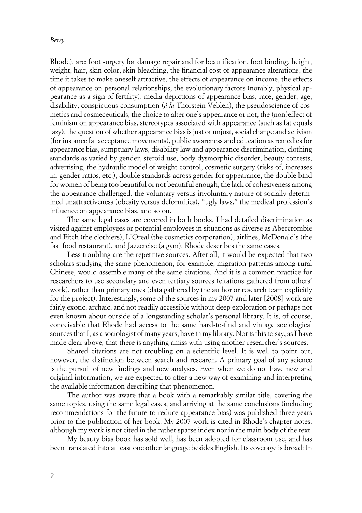### *Berry*

Rhode), are: foot surgery for damage repair and for beautification, foot binding, height, weight, hair, skin color, skin bleaching, the financial cost of appearance alterations, the time it takes to make oneself attractive, the effects of appearance on income, the effects of appearance on personal relationships, the evolutionary factors (notably, physical appearance as a sign of fertility), media depictions of appearance bias, race, gender, age, disability, conspicuous consumption (*à la* Thorstein Veblen), the pseudoscience of cosmetics and cosmeceuticals, the choice to alter one's appearance or not, the (non)effect of feminism on appearance bias, stereotypes associated with appearance (such as fat equals lazy), the question of whether appearance bias is just or unjust, social change and activism (for instance fat acceptance movements), public awareness and education as remedies for appearance bias, sumptuary laws, disability law and appearance discrimination, clothing standards as varied by gender, steroid use, body dysmorphic disorder, beauty contests, advertising, the hydraulic model of weight control, cosmetic surgery (risks of, increases in, gender ratios, etc.), double standards across gender for appearance, the double bind for women of being too beautiful or not beautiful enough, the lack of cohesiveness among the appearance-challenged, the voluntary versus involuntary nature of socially-determined unattractiveness (obesity versus deformities), "ugly laws," the medical profession's influence on appearance bias, and so on.

The same legal cases are covered in both books. I had detailed discrimination as visited against employees or potential employees in situations as diverse as Abercrombie and Fitch (the clothiers), L'Oreal (the cosmetics corporation), airlines, McDonald's (the fast food restaurant), and Jazzercise (a gym). Rhode describes the same cases.

Less troubling are the repetitive sources. After all, it would be expected that two scholars studying the same phenomenon, for example, migration patterns among rural Chinese, would assemble many of the same citations. And it is a common practice for researchers to use secondary and even tertiary sources (citations gathered from others' work), rather than primary ones (data gathered by the author or research team explicitly for the project). Interestingly, some of the sources in my 2007 and later [2008] work are fairly exotic, archaic, and not readily accessible without deep exploration or perhaps not even known about outside of a longstanding scholar's personal library. It is, of course, conceivable that Rhode had access to the same hard-to-find and vintage sociological sources that I, as a sociologist of many years, have in my library. Nor is this to say, as I have made clear above, that there is anything amiss with using another researcher's sources.

Shared citations are not troubling on a scientific level. It is well to point out, however, the distinction between search and research. A primary goal of any science is the pursuit of new findings and new analyses. Even when we do not have new and original information, we are expected to offer a new way of examining and interpreting the available information describing that phenomenon.

The author was aware that a book with a remarkably similar title, covering the same topics, using the same legal cases, and arriving at the same conclusions (including recommendations for the future to reduce appearance bias) was published three years prior to the publication of her book. My 2007 work is cited in Rhode's chapter notes, although my work is not cited in the rather sparse index nor in the main body of the text.

My beauty bias book has sold well, has been adopted for classroom use, and has been translated into at least one other language besides English. Its coverage is broad: In